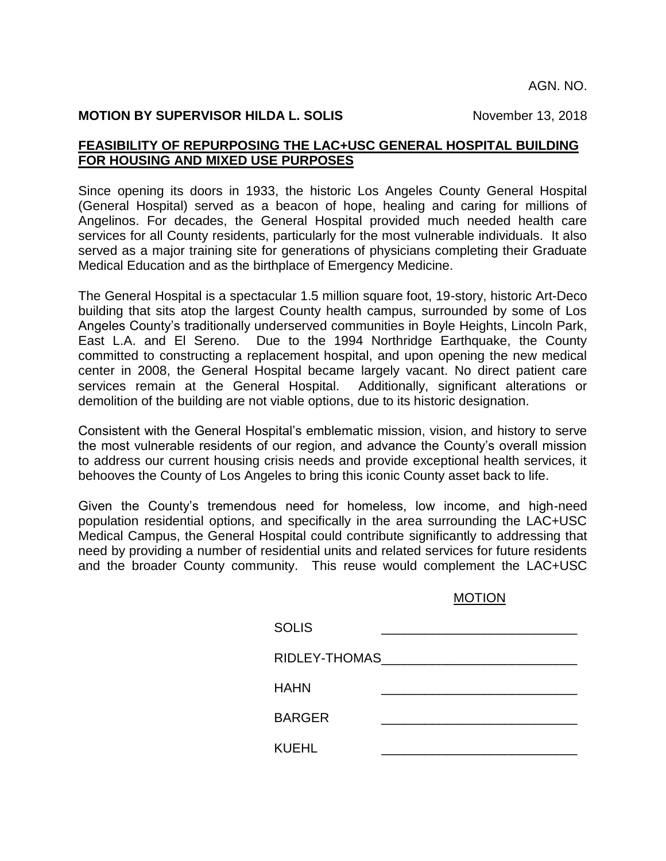AGN. NO.

## **MOTION BY SUPERVISOR HILDA L. SOLIS** November 13, 2018

## **FEASIBILITY OF REPURPOSING THE LAC+USC GENERAL HOSPITAL BUILDING FOR HOUSING AND MIXED USE PURPOSES**

Since opening its doors in 1933, the historic Los Angeles County General Hospital (General Hospital) served as a beacon of hope, healing and caring for millions of Angelinos. For decades, the General Hospital provided much needed health care services for all County residents, particularly for the most vulnerable individuals. It also served as a major training site for generations of physicians completing their Graduate Medical Education and as the birthplace of Emergency Medicine.

The General Hospital is a spectacular 1.5 million square foot, 19-story, historic Art-Deco building that sits atop the largest County health campus, surrounded by some of Los Angeles County's traditionally underserved communities in Boyle Heights, Lincoln Park, East L.A. and El Sereno. Due to the 1994 Northridge Earthquake, the County committed to constructing a replacement hospital, and upon opening the new medical center in 2008, the General Hospital became largely vacant. No direct patient care services remain at the General Hospital. Additionally, significant alterations or demolition of the building are not viable options, due to its historic designation.

Consistent with the General Hospital's emblematic mission, vision, and history to serve the most vulnerable residents of our region, and advance the County's overall mission to address our current housing crisis needs and provide exceptional health services, it behooves the County of Los Angeles to bring this iconic County asset back to life.

Given the County's tremendous need for homeless, low income, and high-need population residential options, and specifically in the area surrounding the LAC+USC Medical Campus, the General Hospital could contribute significantly to addressing that need by providing a number of residential units and related services for future residents and the broader County community. This reuse would complement the LAC+USC

## MOTION

| <b>SOLIS</b>  |  |
|---------------|--|
| RIDLEY-THOMAS |  |
| <b>HAHN</b>   |  |
| <b>BARGER</b> |  |
| <b>KUEHL</b>  |  |